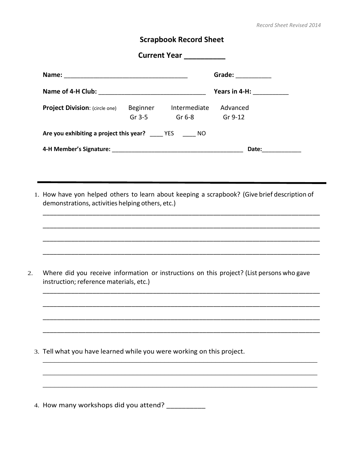## **Scrapbook Record Sheet**

| Current Year                                              |                      |                                |                               |  |
|-----------------------------------------------------------|----------------------|--------------------------------|-------------------------------|--|
|                                                           |                      |                                | Grade: $\qquad \qquad$        |  |
|                                                           |                      |                                | Years in 4-H: $\qquad \qquad$ |  |
| <b>Project Division:</b> (circle one)                     | Beginner<br>Gr $3-5$ | Intermediate<br>Gr 6-8 Gr 9-12 | Advanced                      |  |
| Are you exhibiting a project this year? ____ YES _____ NO |                      |                                |                               |  |
|                                                           |                      |                                | Date:                         |  |

1. How have yon helped others to learn about keeping a scrapbook? (Give brief description of demonstrations, activities helping others, etc.)

\_\_\_\_\_\_\_\_\_\_\_\_\_\_\_\_\_\_\_\_\_\_\_\_\_\_\_\_\_\_\_\_\_\_\_\_\_\_\_\_\_\_\_\_\_\_\_\_\_\_\_\_\_\_\_\_\_\_\_\_\_\_\_\_\_\_\_\_\_\_\_\_\_\_\_\_\_\_

\_\_\_\_\_\_\_\_\_\_\_\_\_\_\_\_\_\_\_\_\_\_\_\_\_\_\_\_\_\_\_\_\_\_\_\_\_\_\_\_\_\_\_\_\_\_\_\_\_\_\_\_\_\_\_\_\_\_\_\_\_\_\_\_\_\_\_\_\_\_\_\_\_\_\_\_\_\_

\_\_\_\_\_\_\_\_\_\_\_\_\_\_\_\_\_\_\_\_\_\_\_\_\_\_\_\_\_\_\_\_\_\_\_\_\_\_\_\_\_\_\_\_\_\_\_\_\_\_\_\_\_\_\_\_\_\_\_\_\_\_\_\_\_\_\_\_\_\_\_\_\_\_\_\_\_\_

\_\_\_\_\_\_\_\_\_\_\_\_\_\_\_\_\_\_\_\_\_\_\_\_\_\_\_\_\_\_\_\_\_\_\_\_\_\_\_\_\_\_\_\_\_\_\_\_\_\_\_\_\_\_\_\_\_\_\_\_\_\_\_\_\_\_\_\_\_\_\_\_\_\_\_\_\_\_

\_\_\_\_\_\_\_\_\_\_\_\_\_\_\_\_\_\_\_\_\_\_\_\_\_\_\_\_\_\_\_\_\_\_\_\_\_\_\_\_\_\_\_\_\_\_\_\_\_\_\_\_\_\_\_\_\_\_\_\_\_\_\_\_\_\_\_\_\_\_\_\_\_\_\_\_\_\_

\_\_\_\_\_\_\_\_\_\_\_\_\_\_\_\_\_\_\_\_\_\_\_\_\_\_\_\_\_\_\_\_\_\_\_\_\_\_\_\_\_\_\_\_\_\_\_\_\_\_\_\_\_\_\_\_\_\_\_\_\_\_\_\_\_\_\_\_\_\_\_\_\_\_\_\_\_\_

\_\_\_\_\_\_\_\_\_\_\_\_\_\_\_\_\_\_\_\_\_\_\_\_\_\_\_\_\_\_\_\_\_\_\_\_\_\_\_\_\_\_\_\_\_\_\_\_\_\_\_\_\_\_\_\_\_\_\_\_\_\_\_\_\_\_\_\_\_\_\_\_\_\_\_\_\_\_

\_\_\_\_\_\_\_\_\_\_\_\_\_\_\_\_\_\_\_\_\_\_\_\_\_\_\_\_\_\_\_\_\_\_\_\_\_\_\_\_\_\_\_\_\_\_\_\_\_\_\_\_\_\_\_\_\_\_\_\_\_\_\_\_\_\_\_\_\_\_\_\_\_\_\_\_\_\_

\_\_\_\_\_\_\_\_\_\_\_\_\_\_\_\_\_\_\_\_\_\_\_\_\_\_\_\_\_\_\_\_\_\_\_\_\_\_\_\_\_\_\_\_\_\_\_\_\_\_\_\_\_\_\_\_\_\_\_\_\_\_\_\_\_\_\_\_\_\_

\_\_\_\_\_\_\_\_\_\_\_\_\_\_\_\_\_\_\_\_\_\_\_\_\_\_\_\_\_\_\_\_\_\_\_\_\_\_\_\_\_\_\_\_\_\_\_\_\_\_\_\_\_\_\_\_\_\_\_\_\_\_\_\_\_\_\_\_\_\_

\_\_\_\_\_\_\_\_\_\_\_\_\_\_\_\_\_\_\_\_\_\_\_\_\_\_\_\_\_\_\_\_\_\_\_\_\_\_\_\_\_\_\_\_\_\_\_\_\_\_\_\_\_\_\_\_\_\_\_\_\_\_\_\_\_\_\_\_\_\_

2. Where did you receive information or instructions on this project? (List persons who gave instruction; reference materials, etc.)

- 3. Tell what you have learned while you were working on this project.
- 4. How many workshops did you attend? \_\_\_\_\_\_\_\_\_\_\_